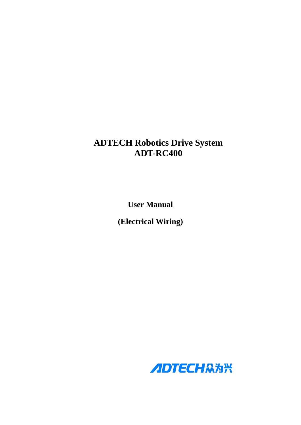# **ADTECH Robotics Drive System ADT-RC400**

**User Manual** 

**(Electrical Wiring)** 

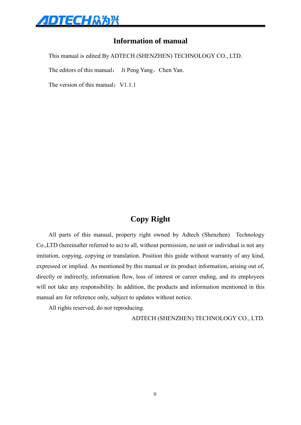

## **Information of manual**

This manual is edited By ADTECH (SHENZHEN) TECHNOLOGY CO., LTD.

The editors of this manual: Ji Peng Yang、Chen Yan.

The version of this manual:  $V1.1.1$ 

## **Copy Right**

All parts of this manual, property right owned by Adtech (Shenzhen) Technology Co.,LTD (hereinafter referred to as) to all, without permission, no unit or individual is not any imitation, copying, copying or translation. Position this guide without warranty of any kind, expressed or implied. As mentioned by this manual or its product information, arising out of, directly or indirectly, information flow, loss of interest or career ending, and its employees will not take any responsibility. In addition, the products and information mentioned in this manual are for reference only, subject to updates without notice.

All rights reserved, do not reproducing.

ADTECH (SHENZHEN) TECHNOLOGY CO., LTD.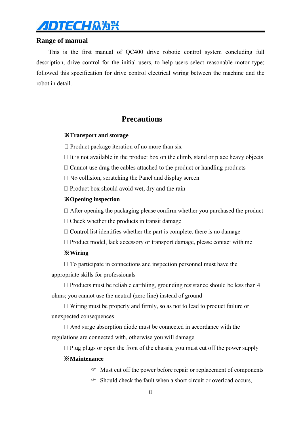

## **Range of manual**

This is the first manual of QC400 drive robotic control system concluding full description, drive control for the initial users, to help users select reasonable motor type; followed this specification for drive control electrical wiring between the machine and the robot in detail.

## **Precautions**

## ※**Transport and storage**

 $\Box$  Product package iteration of no more than six

 $\Box$  It is not available in the product box on the climb, stand or place heavy objects

 $\Box$  Cannot use drag the cables attached to the product or handling products

 $\Box$  No collision, scratching the Panel and display screen

 $\Box$  Product box should avoid wet, dry and the rain

## ※**Opening inspection**

 $\Box$  After opening the packaging please confirm whether you purchased the product

 $\Box$  Check whether the products in transit damage

- $\Box$  Control list identifies whether the part is complete, there is no damage
- $\Box$  Product model, lack accessory or transport damage, please contact with me

## ※**Wiring**

 $\Box$  To participate in connections and inspection personnel must have the appropriate skills for professionals

 $\Box$  Products must be reliable earthling, grounding resistance should be less than 4 ohms; you cannot use the neutral (zero line) instead of ground

 $\Box$  Wiring must be properly and firmly, so as not to lead to product failure or unexpected consequences

 $\Box$  And surge absorption diode must be connected in accordance with the regulations are connected with, otherwise you will damage

 $\Box$  Plug plugs or open the front of the chassis, you must cut off the power supply

#### ※**Maintenance**

- Must cut off the power before repair or replacement of components
- Should check the fault when a short circuit or overload occurs,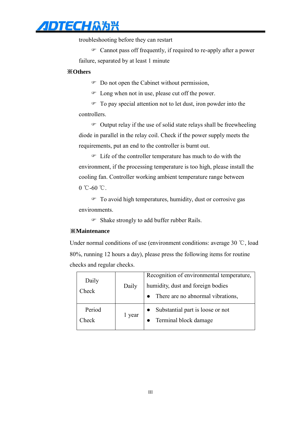# ADTECH众为兴

troubleshooting before they can restart

 Cannot pass off frequently, if required to re-apply after a power failure, separated by at least 1 minute

### ※**Others**

Do not open the Cabinet without permission,

Long when not in use, please cut off the power.

 To pay special attention not to let dust, iron powder into the controllers.

 $\circ$  Output relay if the use of solid state relays shall be freewheeling diode in parallel in the relay coil. Check if the power supply meets the requirements, put an end to the controller is burnt out.

 Life of the controller temperature has much to do with the environment, if the processing temperature is too high, please install the cooling fan. Controller working ambient temperature range between  $0 °C - 60 °C$ .

 To avoid high temperatures, humidity, dust or corrosive gas environments.

Shake strongly to add buffer rubber Rails.

### ※**Maintenance**

Under normal conditions of use (environment conditions: average 30 ℃, load 80%, running 12 hours a day), please press the following items for routine checks and regular checks.

| Daily<br>Check  | Daily  | Recognition of environmental temperature,<br>humidity, dust and foreign bodies<br>There are no abnormal vibrations, |
|-----------------|--------|---------------------------------------------------------------------------------------------------------------------|
| Period<br>`heck | 1 year | Substantial part is loose or not<br>Terminal block damage                                                           |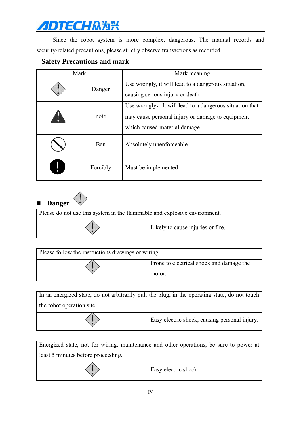Since the robot system is more complex, dangerous. The manual records and security-related precautions, please strictly observe transactions as recorded.

## **Safety Precautions and mark**

| Mark |          | Mark meaning                                                                                                                                 |
|------|----------|----------------------------------------------------------------------------------------------------------------------------------------------|
|      | Danger   | Use wrongly, it will lead to a dangerous situation,<br>causing serious injury or death                                                       |
|      | note     | Use wrongly, It will lead to a dangerous situation that<br>may cause personal injury or damage to equipment<br>which caused material damage. |
|      | Ban      | Absolutely unenforceable                                                                                                                     |
|      | Forcibly | Must be implemented                                                                                                                          |

**Danger** 

| Please do not use this system in the flammable and explosive environment. |                                   |  |
|---------------------------------------------------------------------------|-----------------------------------|--|
|                                                                           | Likely to cause injuries or fire. |  |

| Please follow the instructions drawings or wiring. |                                                    |  |
|----------------------------------------------------|----------------------------------------------------|--|
|                                                    | Prone to electrical shock and damage the<br>motor. |  |

In an energized state, do not arbitrarily pull the plug, in the operating state, do not touch the robot operation site.

| Easy electric shock, causing personal injury. |
|-----------------------------------------------|
|-----------------------------------------------|

|                                    | Energized state, not for wiring, maintenance and other operations, be sure to power at |
|------------------------------------|----------------------------------------------------------------------------------------|
| least 5 minutes before proceeding. |                                                                                        |
|                                    | Easy electric shock.                                                                   |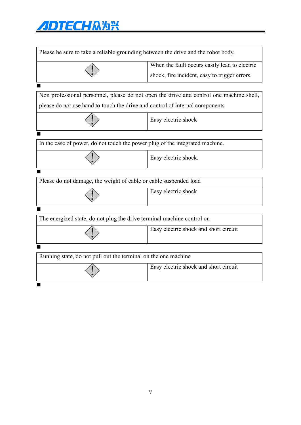| Please be sure to take a reliable grounding between the drive and the robot body. |                                                                                         |  |
|-----------------------------------------------------------------------------------|-----------------------------------------------------------------------------------------|--|
|                                                                                   | When the fault occurs easily lead to electric                                           |  |
|                                                                                   | shock, fire incident, easy to trigger errors.                                           |  |
|                                                                                   |                                                                                         |  |
|                                                                                   | Non professional personnel, please do not open the drive and control one machine shell, |  |
| please do not use hand to touch the drive and control of internal components      |                                                                                         |  |
|                                                                                   | Easy electric shock                                                                     |  |
|                                                                                   |                                                                                         |  |
| In the case of power, do not touch the power plug of the integrated machine.      |                                                                                         |  |
|                                                                                   | Easy electric shock.                                                                    |  |
|                                                                                   |                                                                                         |  |
| Please do not damage, the weight of cable or cable suspended load                 |                                                                                         |  |
|                                                                                   | Easy electric shock                                                                     |  |
|                                                                                   |                                                                                         |  |
| The energized state, do not plug the drive terminal machine control on            |                                                                                         |  |
|                                                                                   | Easy electric shock and short circuit                                                   |  |
|                                                                                   |                                                                                         |  |
| Running state, do not pull out the terminal on the one machine                    |                                                                                         |  |
|                                                                                   | Easy electric shock and short circuit                                                   |  |
|                                                                                   |                                                                                         |  |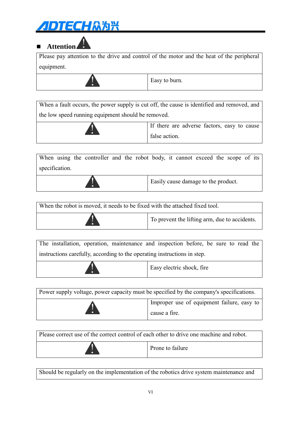# **Attention**

Please pay attention to the drive and control of the motor and the heat of the peripheral equipment.

Easy to burn.

When a fault occurs, the power supply is cut off, the cause is identified and removed, and the low speed running equipment should be removed.

| If there are adverse factors, easy to cause |
|---------------------------------------------|
| false action.                               |

When using the controller and the robot body, it cannot exceed the scope of its specification.



Easily cause damage to the product.

| When the robot is moved, it needs to be fixed with the attached fixed tool. |                                               |  |
|-----------------------------------------------------------------------------|-----------------------------------------------|--|
| ю                                                                           | To prevent the lifting arm, due to accidents. |  |

The installation, operation, maintenance and inspection before, be sure to read the instructions carefully, according to the operating instructions in step.

|  | Easy electric shock, fire |
|--|---------------------------|
|--|---------------------------|

Power supply voltage, power capacity must be specified by the company's specifications. Improper use of equipment failure, easy to cause a fire.

Please correct use of the correct control of each other to drive one machine and robot. Prone to failure

Should be regularly on the implementation of the robotics drive system maintenance and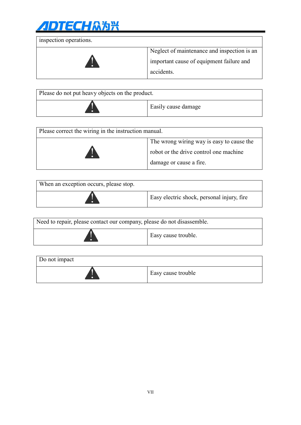

inspection operations. Neglect of maintenance and inspection is an important cause of equipment failure and accidents.

| Please do not put heavy objects on the product. |                     |  |
|-------------------------------------------------|---------------------|--|
| n                                               | Easily cause damage |  |

| Please correct the wiring in the instruction manual.                                                           |  |  |
|----------------------------------------------------------------------------------------------------------------|--|--|
| The wrong wiring way is easy to cause the<br>robot or the drive control one machine<br>damage or cause a fire. |  |  |

| When an exception occurs, please stop. |                                            |
|----------------------------------------|--------------------------------------------|
|                                        | Easy electric shock, personal injury, fire |

| Need to repair, please contact our company, please do not disassemble. |                     |  |
|------------------------------------------------------------------------|---------------------|--|
| $\bullet$                                                              | Easy cause trouble. |  |

| Do not impact |                    |
|---------------|--------------------|
|               | Easy cause trouble |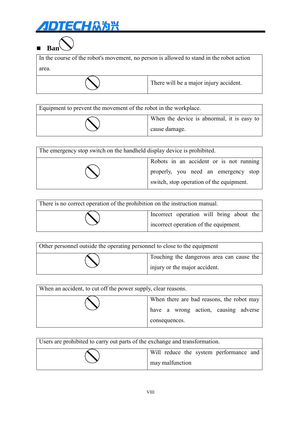# **ЛОТЕСНАЯЖ**



In the course of the robot's movement, no person is allowed to stand in the robot action area.

| There will be a major injury accident. |  |
|----------------------------------------|--|
|----------------------------------------|--|

| Equipment to prevent the movement of the robot in the workplace. |                                                             |  |
|------------------------------------------------------------------|-------------------------------------------------------------|--|
|                                                                  | When the device is abnormal, it is easy to<br>cause damage. |  |

| The emergency stop switch on the handheld display device is prohibited. |                                          |  |
|-------------------------------------------------------------------------|------------------------------------------|--|
|                                                                         | Robots in an accident or is not running  |  |
|                                                                         | properly, you need an emergency stop     |  |
|                                                                         | switch, stop operation of the equipment. |  |

| There is no correct operation of the prohibition on the instruction manual. |  |                                                                                   |  |  |  |  |
|-----------------------------------------------------------------------------|--|-----------------------------------------------------------------------------------|--|--|--|--|
|                                                                             |  | Incorrect operation will bring about the<br>incorrect operation of the equipment. |  |  |  |  |

| Other personnel outside the operating personnel to close to the equipment |                                                                            |  |
|---------------------------------------------------------------------------|----------------------------------------------------------------------------|--|
|                                                                           | Touching the dangerous area can cause the<br>injury or the major accident. |  |

| When an accident, to cut off the power supply, clear reasons. |                                                                                   |
|---------------------------------------------------------------|-----------------------------------------------------------------------------------|
|                                                               | When there are bad reasons, the robot may<br>have a wrong action, causing adverse |
|                                                               | consequences.                                                                     |

| Users are prohibited to carry out parts of the exchange and transformation. |                                                           |  |
|-----------------------------------------------------------------------------|-----------------------------------------------------------|--|
|                                                                             | Will reduce the system performance and<br>may malfunction |  |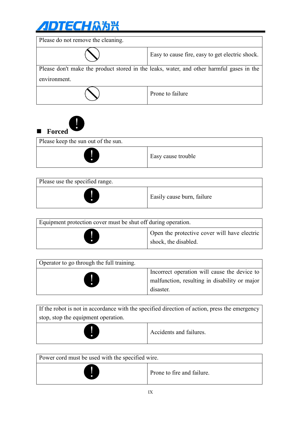

!

Please keep the sun out of the sun.

■ Forced

| Please do not remove the cleaning.                                                       |                                                 |  |
|------------------------------------------------------------------------------------------|-------------------------------------------------|--|
|                                                                                          | Easy to cause fire, easy to get electric shock. |  |
| Please don't make the product stored in the leaks, water, and other harmful gases in the |                                                 |  |
| environment.                                                                             |                                                 |  |
|                                                                                          | Prone to failure                                |  |



| Equipment protection cover must be shut off during operation. |                                                                      |  |
|---------------------------------------------------------------|----------------------------------------------------------------------|--|
| $\ddot{\bullet}$                                              | Open the protective cover will have electric<br>shock, the disabled. |  |

| Operator to go through the full training. |                                                                                                            |
|-------------------------------------------|------------------------------------------------------------------------------------------------------------|
| U                                         | Incorrect operation will cause the device to<br>malfunction, resulting in disability or major<br>disaster. |

| If the robot is not in accordance with the specified direction of action, press the emergency |  |  |  |
|-----------------------------------------------------------------------------------------------|--|--|--|
| stop, stop the equipment operation.                                                           |  |  |  |
| Accidents and failures.<br>O                                                                  |  |  |  |

| Power cord must be used with the specified wire. |                            |  |  |  |
|--------------------------------------------------|----------------------------|--|--|--|
|                                                  | Prone to fire and failure. |  |  |  |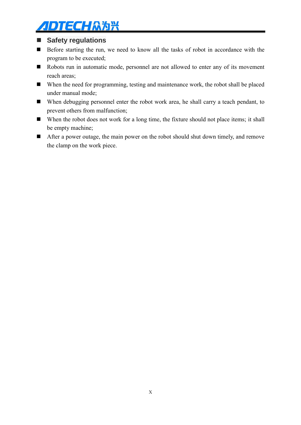## **Safety regulations**

- Before starting the run, we need to know all the tasks of robot in accordance with the program to be executed;
- Robots run in automatic mode, personnel are not allowed to enter any of its movement reach areas;
- When the need for programming, testing and maintenance work, the robot shall be placed under manual mode;
- When debugging personnel enter the robot work area, he shall carry a teach pendant, to prevent others from malfunction;
- When the robot does not work for a long time, the fixture should not place items; it shall be empty machine;
- After a power outage, the main power on the robot should shut down timely, and remove the clamp on the work piece.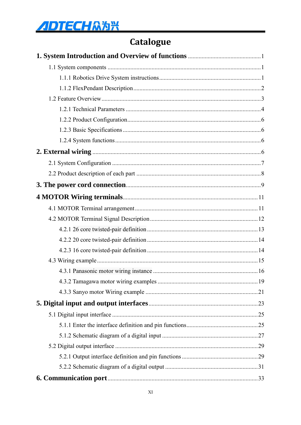# Catalogue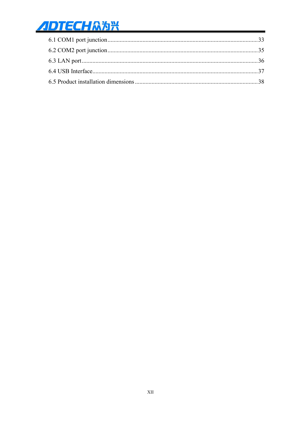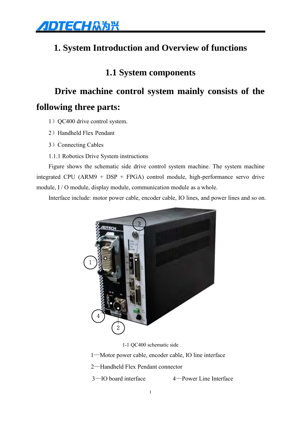<span id="page-13-0"></span>

# <span id="page-13-1"></span>**1. System Introduction and Overview of functions**

## **1.1 System components**

# **Drive machine control system mainly consists of the**

# **following three parts:**

- 1) QC400 drive control system.
- 2) Handheld Flex Pendant
- <span id="page-13-2"></span>3) Connecting Cables
- 1.1.1 Robotics Drive System instructions

Figure shows the schematic side drive control system machine. The system machine integrated CPU (ARM9 + DSP + FPGA) control module, high-performance servo drive module, I / O module, display module, communication module as a whole.

Interface include: motor power cable, encoder cable, IO lines, and power lines and so on.



1-1 QC400 schematic side

1—Motor power cable, encoder cable, IO line interface

- 2—Handheld Flex Pendant connector
- 3—IO board interface 4—Power Line Interface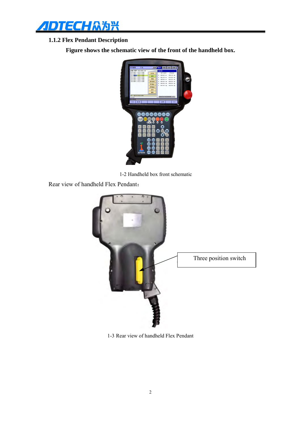

## <span id="page-14-0"></span>**1.1.2 Flex Pendant Description**

**Figure shows the schematic view of the front of the handheld box.**



1-2 Handheld box front schematic

Rear view of handheld Flex Pendant:



1-3 Rear view of handheld Flex Pendant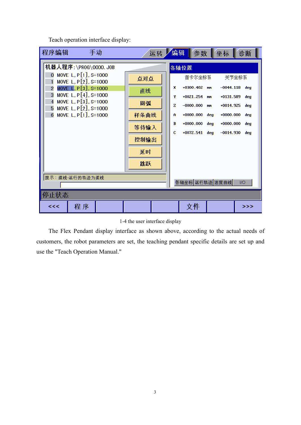Teach operation interface display:

| 程序编辑                               |                                                                                                                                                                                                                  | 手动 |                                                     | 运转 | 编辑                         | 参数                                                                                                                   |                  | 坐标                                                                                                              | 诊断         |
|------------------------------------|------------------------------------------------------------------------------------------------------------------------------------------------------------------------------------------------------------------|----|-----------------------------------------------------|----|----------------------------|----------------------------------------------------------------------------------------------------------------------|------------------|-----------------------------------------------------------------------------------------------------------------|------------|
| Ō<br>$\overline{2}$<br>3<br>4<br>6 | 机器人程序:\PR0G\0000.J0B<br>MOVE L, $P[1]$ , S=1000<br>MOVE L, $P[2]$ , S=1000<br>MOVE L, P[3], S=1000<br>MOVE L, $P[4]$ , S=1000<br>MOVE L, $P[3]$ , S=1000<br>5 MOVE L, $P[2]$ , S=1000<br>MOVE L, $P[1]$ , S=1000 |    | 点对点<br>直线<br>圆弧<br>样条曲线<br>等待输入<br>控制输出<br>延时<br>跳跃 |    | x<br>Ψ<br>z<br>A<br>В<br>c | 各轴位置<br>笛卡尔坐标系<br>$+0300.402$ mm<br>$+0021.254$ mm<br>$-0000,000$<br>$+0000.000+$<br>$+0000.000+$<br>$+0072.541$ deg | mm<br>dea<br>deg | 关节坐标系<br>$-0044.118$ deg<br>$+0131.589$ deg<br>+0014.925 deg<br>$+0000.000+$<br>$+0000.000+$<br>$-0014.930$ deg | deg<br>deg |
|                                    | 提示:直线-运行的轨迹为直线                                                                                                                                                                                                   |    |                                                     |    |                            | 各轴坐标 运行轨迹 速度曲线                                                                                                       |                  |                                                                                                                 | I/O        |
| 停止状态                               |                                                                                                                                                                                                                  |    |                                                     |    |                            |                                                                                                                      |                  |                                                                                                                 |            |
| <<                                 | 程序                                                                                                                                                                                                               |    |                                                     |    |                            | 文件                                                                                                                   |                  |                                                                                                                 | >>         |

|  |  | 1-4 the user interface display |  |
|--|--|--------------------------------|--|
|--|--|--------------------------------|--|

<span id="page-15-0"></span>The Flex Pendant display interface as shown above, according to the actual needs of customers, the robot parameters are set, the teaching pendant specific details are set up and use the "Teach Operation Manual."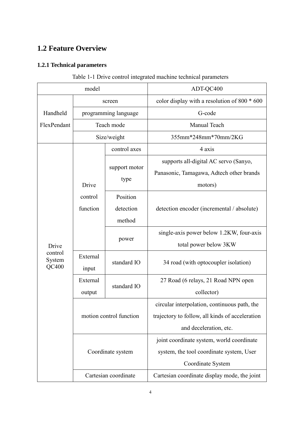## <span id="page-16-0"></span>**1.2 Feature Overview**

## **1.2.1 Technical parameters**

| model       |                                                 |                      | ADT-QC400                                       |  |  |
|-------------|-------------------------------------------------|----------------------|-------------------------------------------------|--|--|
|             | screen                                          |                      | color display with a resolution of 800 * 600    |  |  |
| Handheld    |                                                 | programming language | G-code                                          |  |  |
| FlexPendant |                                                 | Teach mode           | Manual Teach                                    |  |  |
|             |                                                 | Size/weight          | 355mm*248mm*70mm/2KG                            |  |  |
|             |                                                 | control axes         | 4 axis                                          |  |  |
|             |                                                 |                      | supports all-digital AC servo (Sanyo,           |  |  |
|             |                                                 | support motor        | Panasonic, Tamagawa, Adtech other brands        |  |  |
|             | Drive                                           | type                 | motors)                                         |  |  |
|             | control                                         | Position             |                                                 |  |  |
|             | function                                        | detection            | detection encoder (incremental / absolute)      |  |  |
|             |                                                 | method               |                                                 |  |  |
|             |                                                 |                      | single-axis power below 1.2KW, four-axis        |  |  |
| Drive       | control<br>External<br>System<br>QC400<br>input | power                | total power below 3KW                           |  |  |
|             |                                                 | standard IO          |                                                 |  |  |
|             |                                                 |                      | 34 road (with optocoupler isolation)            |  |  |
|             | External                                        | standard IO          | 27 Road (6 relays, 21 Road NPN open             |  |  |
|             | output                                          |                      | collector)                                      |  |  |
|             |                                                 |                      | circular interpolation, continuous path, the    |  |  |
|             | motion control function                         |                      | trajectory to follow, all kinds of acceleration |  |  |
|             |                                                 |                      | and deceleration, etc.                          |  |  |
|             |                                                 |                      | joint coordinate system, world coordinate       |  |  |
|             |                                                 | Coordinate system    | system, the tool coordinate system, User        |  |  |
|             |                                                 |                      | Coordinate System                               |  |  |
|             |                                                 | Cartesian coordinate | Cartesian coordinate display mode, the joint    |  |  |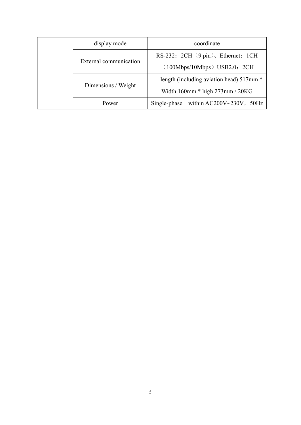|  | display mode           | coordinate                                   |  |  |
|--|------------------------|----------------------------------------------|--|--|
|  |                        | RS-232: 2CH $(9 \text{pin})$ , Ethernet: 1CH |  |  |
|  | External communication | $(100Mbps/10Mbps)$ USB2.0: 2CH               |  |  |
|  |                        | length (including aviation head) 517mm *     |  |  |
|  | Dimensions / Weight    | Width $160$ mm $*$ high $273$ mm / $20KG$    |  |  |
|  | Power                  | Single-phase within $AC200V~230V$ , 50Hz     |  |  |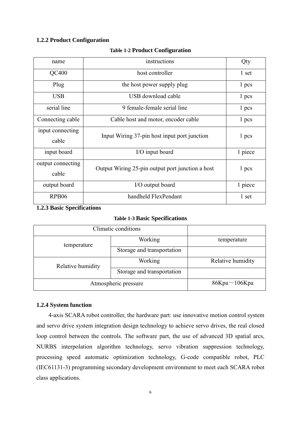## <span id="page-18-0"></span>**1.2.2 Product Configuration**

| name                       | instructions                                     | Qty     |
|----------------------------|--------------------------------------------------|---------|
| QC400                      | host controller                                  | 1 set   |
| Plug                       | the host power supply plug                       | 1 pcs   |
| <b>USB</b>                 | USB download cable                               | 1 pcs   |
| serial line                | 9 female-female serial line                      | 1 pcs   |
| Connecting cable           | Cable host and motor, encoder cable              | 1 pcs   |
| input connecting<br>cable  | Input Wiring 37-pin host input port junction     | 1 pcs   |
| input board                | I/O input board                                  | 1 piece |
| output connecting<br>cable | Output Wiring 25-pin output port junction a host | 1 pcs   |
| output board               | I/O output board                                 | 1 piece |
| RPB <sub>06</sub>          | handheld FlexPendant                             | 1 set   |

### **Table 1-2 Product Configuration**

## <span id="page-18-1"></span>**1.2.3 Basic Specifications**

## **Table 1-3 Basic Specifications**

| Climatic conditions  |                            |                   |
|----------------------|----------------------------|-------------------|
| temperature          | Working                    | temperature       |
|                      | Storage and transportation |                   |
| Relative humidity    | Working                    | Relative humidity |
|                      | Storage and transportation |                   |
| Atmospheric pressure | $86Kpa \sim 106Kpa$        |                   |

#### <span id="page-18-2"></span>**1.2.4 System function**

<span id="page-18-3"></span>4-axis SCARA robot controller, the hardware part: use innovative motion control system and servo drive system integration design technology to achieve servo drives, the real closed loop control between the controls. The software part, the use of advanced 3D spatial arcs, NURBS interpolation algorithm technology, servo vibration suppression technology, processing speed automatic optimization technology, G-code compatible robot, PLC (IEC61131-3) programming secondary development environment to meet each SCARA robot class applications.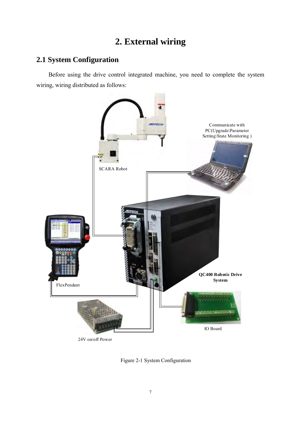# **2. External wiring**

## <span id="page-19-0"></span>**2.1 System Configuration**

Before using the drive control integrated machine, you need to complete the system wiring, wiring distributed as follows:



Figure 2-1 System Configuration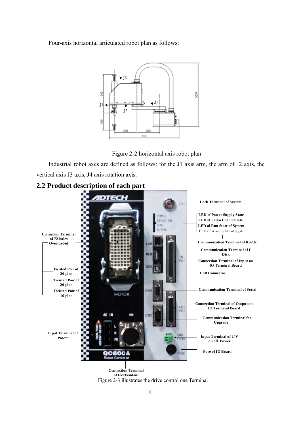Four-axis horizontal articulated robot plan as follows:



Figure 2-2 horizontal axis robot plan

<span id="page-20-0"></span>Industrial robot axes are defined as follows: for the J1 axis arm, the arm of J2 axis, the vertical axis J3 axis, J4 axis rotation axis.





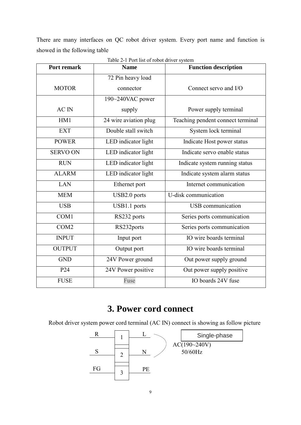<span id="page-21-0"></span>There are many interfaces on QC robot driver system. Every port name and function is showed in the following table

| <b>Port remark</b> | <b>Name</b>           | <b>Function description</b>       |
|--------------------|-----------------------|-----------------------------------|
|                    | 72 Pin heavy load     |                                   |
| <b>MOTOR</b>       | connector             | Connect servo and I/O             |
|                    | 190~240VAC power      |                                   |
| <b>AC</b> IN       | supply                | Power supply terminal             |
| HM1                | 24 wire aviation plug | Teaching pendent connect terminal |
| <b>EXT</b>         | Double stall switch   | System lock terminal              |
| <b>POWER</b>       | LED indicator light   | Indicate Host power status        |
| <b>SERVO ON</b>    | LED indicator light   | Indicate servo enable status      |
| <b>RUN</b>         | LED indicator light   | Indicate system running status    |
| <b>ALARM</b>       | LED indicator light   | Indicate system alarm status      |
| <b>LAN</b>         | Ethernet port         | Internet communication            |
| <b>MEM</b>         | USB2.0 ports          | U-disk communication              |
| <b>USB</b>         | USB1.1 ports          | <b>USB</b> communication          |
| COM1               | RS232 ports           | Series ports communication        |
| COM <sub>2</sub>   | RS232ports            | Series ports communication        |
| <b>INPUT</b>       | Input port            | IO wire boards terminal           |
| <b>OUTPUT</b>      | Output port           | IO wire boards terminal           |
| <b>GND</b>         | 24V Power ground      | Out power supply ground           |
| P24                | 24V Power positive    | Out power supply positive         |
| <b>FUSE</b>        | Fuse                  | IO boards 24V fuse                |

Table 2-1 Port list of robot driver system

# **3. Power cord connect**

Robot driver system power cord terminal (AC IN) connect is showing as follow picture

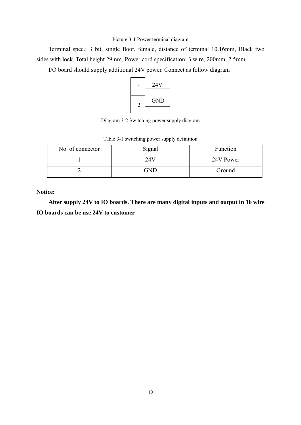#### Picture 3-1 Power terminal diagram

Terminal spec.: 3 bit, single floor, female, distance of terminal 10.16mm, Black two sides with lock, Total height 29mm, Power cord specification: 3 wire, 200mm, 2.5mm

I/O board should supply additional 24V power. Connect as follow diagram



Diagram 3-2 Switching power supply diagram

| No. of connector | Signal | Function  |
|------------------|--------|-----------|
|                  |        | 24V Power |
|                  | GND    | Ground    |

Table 3-1 switching power supply definition

**Notice:** 

**After supply 24V to IO boards. There are many digital inputs and output in 16 wire IO boards can be use 24V to customer**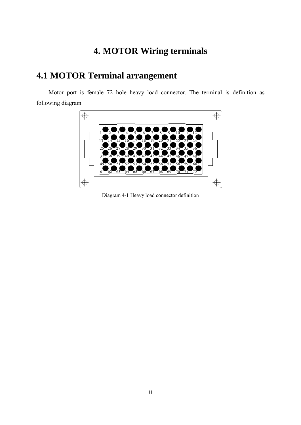# <span id="page-23-1"></span>**4. MOTOR Wiring terminals**

# <span id="page-23-0"></span>**4.1 MOTOR Terminal arrangement**

Motor port is female 72 hole heavy load connector. The terminal is definition as following diagram



Diagram 4-1 Heavy load connector definition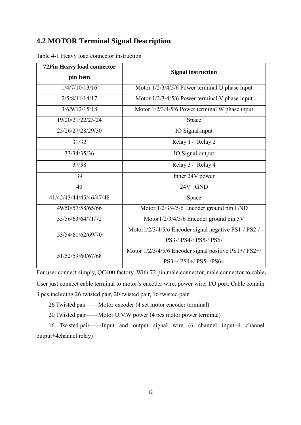## <span id="page-24-0"></span>**4.2 MOTOR Terminal Signal Description**

| <b>72Pin Heavy load connector</b> |                                                       |  |  |
|-----------------------------------|-------------------------------------------------------|--|--|
| pin item                          | <b>Signal instruction</b>                             |  |  |
| 1/4/7/10/13/16                    | Motor $1/2/3/4/5/6$ Power terminal U phase input      |  |  |
| 2/5/8/11/14/17                    | Motor $1/2/3/4/5/6$ Power terminal V phase input      |  |  |
| 3/6/9/12/15/18                    | Motor 1/2/3/4/5/6 Power terminal W phase input        |  |  |
| 19/20/21/22/23/24                 | Space                                                 |  |  |
| 25/26/27/28/29/30                 | IO Signal input                                       |  |  |
| 31/32                             | Relay 1, Relay 2                                      |  |  |
| 33/34/35/36                       | IO Signal output                                      |  |  |
| 37/38                             | Relay 3, Relay 4                                      |  |  |
| 39                                | Inner 24V power                                       |  |  |
| 40                                | 24V GND                                               |  |  |
| 41/42/43/44/45/46/47/48           | Space                                                 |  |  |
| 49/50/57/58/65/66                 | Motor 1/2/3/4/5/6 Encoder ground pin GND              |  |  |
| 55/56/63/64/71/72                 | Motor1/2/3/4/5/6 Encoder ground pin 5V                |  |  |
| 53/54/61/62/69/70                 | Motor1/2/3/4/5/6 Encoder signal negative PS1-/ PS2-/  |  |  |
|                                   | PS3-/ PS4-/ PS5-/ PS6-                                |  |  |
| 51/52/59/60/67/68                 | Motor 1/2/3/4/5/6 Encoder signal positive PS1+/ PS2+/ |  |  |
|                                   | $PS3+/PS4+/PS5+/PS6+$                                 |  |  |

Table 4-1 Heavy load connector instruction

For user connect simply, QC400 factory. With 72 pin male connector, male connector to cable, User just connect cable terminal to motor's encoder wire, power wire, I/O port. Cable contain 3 pcs including 26 twisted pair, 20 twisted pair, 16 twisted pair

26 Twisted pair——Motor encoder (4 set motor encoder terminal)

20 Twisted pair——Motor U,V,W power (4 pcs motor power terminal)

16 Twisted pair——Input and output signal wire (6 channel input+4 channel output+4channel relay)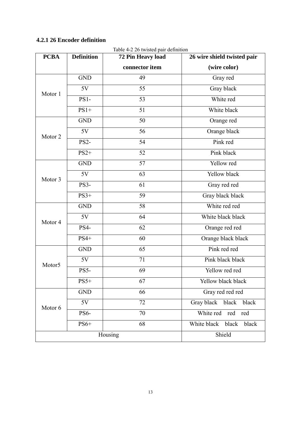## <span id="page-25-0"></span>**4.2.1 26 Encoder definition**

| <b>PCBA</b>        | <b>Definition</b> | 72 Pin Heavy load             | 26 wire shield twisted pair  |  |
|--------------------|-------------------|-------------------------------|------------------------------|--|
|                    |                   | connector item                | (wire color)                 |  |
|                    | <b>GND</b>        | 49                            | Gray red                     |  |
| Motor 1            | 5V                | 55                            | Gray black                   |  |
|                    | <b>PS1-</b>       | 53                            | White red                    |  |
|                    | $PS1+$            | 51                            | White black                  |  |
|                    | <b>GND</b>        | 50                            | Orange red                   |  |
| Motor <sub>2</sub> | 5V                | 56                            | Orange black                 |  |
|                    | <b>PS2-</b>       | 54                            | Pink red                     |  |
|                    | $PS2+$            | 52                            | Pink black                   |  |
|                    | <b>GND</b>        | 57                            | Yellow red                   |  |
| Motor 3            | 5V                | 63                            | Yellow black                 |  |
|                    | <b>PS3-</b>       | 61                            | Gray red red                 |  |
| $PS3+$             |                   | 59                            | Gray black black             |  |
|                    | <b>GND</b>        | 58                            | White red red                |  |
| Motor 4            | 5V                | 64                            | White black black            |  |
|                    | PS4-              | 62                            | Orange red red               |  |
|                    | $PS4+$            | 60                            | Orange black black           |  |
|                    | <b>GND</b>        | 65                            | Pink red red                 |  |
| Motor5             | 5V                | 71                            | Pink black black             |  |
|                    | PS5-              | 69                            | Yellow red red               |  |
|                    | $PS5+$            | 67                            | Yellow black black           |  |
|                    | <b>GND</b>        | 66                            | Gray red red red             |  |
| Motor 6            | 5V                | 72                            | Gray black<br>black<br>black |  |
|                    | <b>PS6-</b>       | 70                            | White red<br>red<br>red      |  |
| $PS6+$<br>68       |                   | White black<br>black<br>black |                              |  |
|                    |                   | Housing                       | Shield                       |  |

Table 4-2 26 twisted pair definition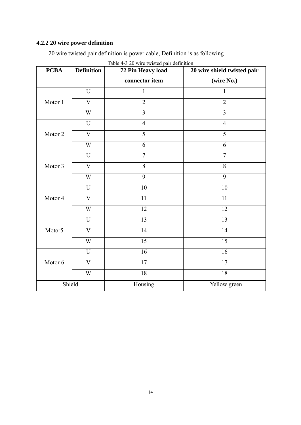## <span id="page-26-0"></span>**4.2.2 20 wire power definition**

20 wire twisted pair definition is power cable, Definition is as following

<span id="page-26-1"></span>

| <b>PCBA</b> | <b>Definition</b>         | raone $\pm$ 5 $\pm$ 0 when twisted pair definition<br>72 Pin Heavy load | 20 wire shield twisted pair |
|-------------|---------------------------|-------------------------------------------------------------------------|-----------------------------|
|             |                           | connector item                                                          | (wire No.)                  |
|             | $\mathbf U$               | $\mathbf{1}$                                                            | 1                           |
| Motor 1     | $\mathbf V$               | $\overline{2}$                                                          | $\overline{2}$              |
|             | $\ensuremath{\text{W}}$   | $\overline{3}$                                                          | $\overline{3}$              |
|             | $\mathbf U$               | $\overline{4}$                                                          | $\overline{4}$              |
| Motor 2     | $\ensuremath{\mathbf{V}}$ | $\overline{5}$                                                          | $\overline{5}$              |
|             | W                         | 6                                                                       | 6                           |
|             | U                         | $\overline{7}$                                                          | $\overline{7}$              |
| Motor 3     | $\overline{\mathbf{V}}$   | $\overline{8}$                                                          | $\overline{8}$              |
|             | W                         | 9                                                                       | 9                           |
|             | $\mathbf U$               | 10                                                                      | 10                          |
| Motor 4     | $\overline{\mathsf{V}}$   | 11                                                                      | 11                          |
|             | W                         | 12                                                                      | 12                          |
|             | U                         | 13                                                                      | 13                          |
| Motor5      | $\overline{V}$            | 14                                                                      | 14                          |
|             | W                         | 15                                                                      | 15                          |
|             | U                         | 16                                                                      | 16                          |
| Motor 6     | $\mathbf V$               | 17                                                                      | $\overline{17}$             |
|             | W                         | $18\,$                                                                  | $18\,$                      |
|             | Shield                    | Housing                                                                 | Yellow green                |

|  |  | Table 4-3 20 wire twisted pair definition |
|--|--|-------------------------------------------|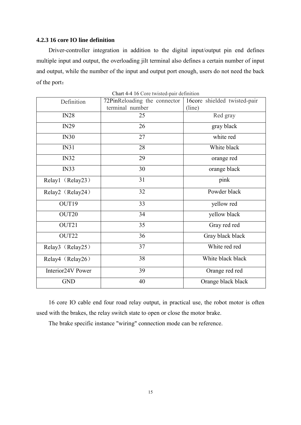### **4.2.3 16 core IO line definition**

Driver-controller integration in addition to the digital input/output pin end defines multiple input and output, the overloading jilt terminal also defines a certain number of input and output, while the number of the input and output port enough, users do not need the back of the port:

| Definition        | 72PinReloading the connector<br>terminal number | 16core shielded twisted-pair<br>(line) |
|-------------------|-------------------------------------------------|----------------------------------------|
| IN28              | 25                                              | Red gray                               |
| IN29              | 26                                              | gray black                             |
| IN30              | 27                                              | white red                              |
| IN31              | 28                                              | White black                            |
| IN32              | 29                                              | orange red                             |
| IN33              | 30                                              | orange black                           |
| Relay1 (Relay23)  | 31                                              | pink                                   |
| Relay2 (Relay24)  | 32                                              | Powder black                           |
| OUT19             | 33                                              | yellow red                             |
| OUT20             | 34                                              | yellow black                           |
| OUT21             | 35                                              | Gray red red                           |
| OUT22             | 36                                              | Gray black black                       |
| Relay3 (Relay25)  | 37                                              | White red red                          |
| Relay4 (Relay26)  | 38                                              | White black black                      |
| Interior24V Power | 39                                              | Orange red red                         |
| <b>GND</b>        | 40                                              | Orange black black                     |

Chart 4-4 16 Core twisted-pair definition

<span id="page-27-0"></span>16 core IO cable end four road relay output, in practical use, the robot motor is often used with the brakes, the relay switch state to open or close the motor brake.

The brake specific instance "wiring" connection mode can be reference.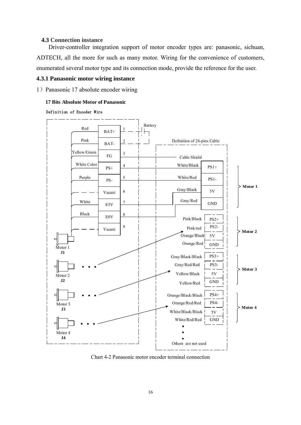### **4.3 Connection instance**

Driver-controller integration support of motor encoder types are: panasonic, sichuan, ADTECH, all the more for such as many motor. Wiring for the convenience of customers, enumerated several motor type and its connection mode, provide the reference for the user.

#### <span id="page-28-0"></span>**4.3.1 Panasonic motor wiring instance**

1) Panasonic 17 absolute encoder wiring

#### **17 Bits Absolute Motor of Panasonic**

#### Definition of Encoder Wire



Chart 4-2 Panasonic motor encoder terminal connection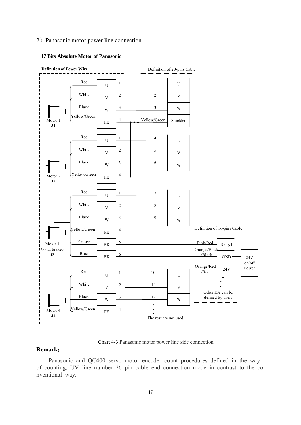### 2)Panasonic motor power line connection



#### **17 Bits Absolute Motor of Panasonic**

Chart 4-3 Panasonic motor power line side connection

## **Remark**:

Panasonic and QC400 servo motor encoder count procedures defined in the way of counting, UV line number 26 pin cable end connection mode in contrast to the co nventional way.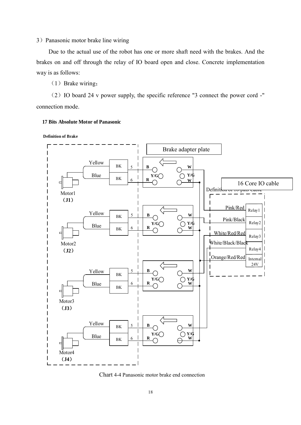3) Panasonic motor brake line wiring

Due to the actual use of the robot has one or more shaft need with the brakes. And the brakes on and off through the relay of IO board open and close. Concrete implementation way is as follows:

 $(1)$  Brake wiring;

(2)IO board 24 v power supply, the specific reference "3 connect the power cord -" connection mode.

**17 Bits Absolute Motor of Panasonic**

**Definition of Brake**



Chart 4-4 Panasonic motor brake end connection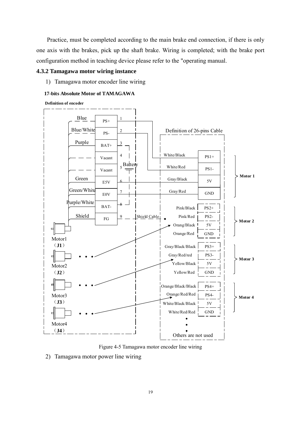Practice, must be completed according to the main brake end connection, if there is only one axis with the brakes, pick up the shaft brake. Wiring is completed; with the brake port configuration method in teaching device please refer to the "operating manual.

## <span id="page-31-0"></span>**4.3.2 Tamagawa motor wiring instance**

1) Tamagawa motor encoder line wiring

### **17-bits Absolute Motor of TAMAGAWA**

**Definition of encoder**



Figure 4-5 Tamagawa motor encoder line wiring

2) Tamagawa motor power line wiring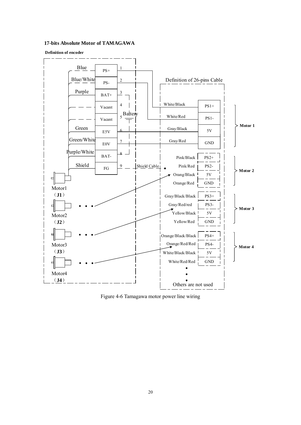#### **17-bits Absolute Motor of TAMAGAWA**

#### **Definition of encoder**



Figure 4-6 Tamagawa motor power line wiring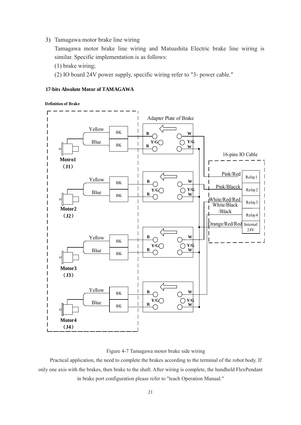<span id="page-33-0"></span>3) Tamagawa motor brake line wiring

Tamagawa motor brake line wiring and Matsushita Electric brake line wiring is similar. Specific implementation is as follows:

- (1) brake wiring;
- (2) IO board 24V power supply, specific wiring refer to "3- power cable."

#### **17-bits Absolute Motor of TAMAGAWA**

**Definition of Brake**



Figure 4-7 Tamagawa motor brake side wiring

Practical application, the need to complete the brakes according to the terminal of the robot body. If only one axis with the brakes, then brake to the shaft. After wiring is complete, the handheld FlexPendant in brake port configuration please refer to "teach Operation Manual."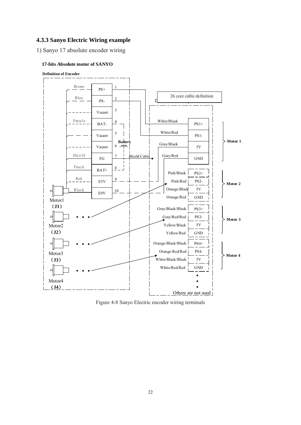## **4.3.3 Sanyo Electric Wiring example**

1) Sanyo 17 absolute encoder wiring

#### **17-bits Absolute motor of SANYO**



Figure 4-8 Sanyo Electric encoder wiring terminals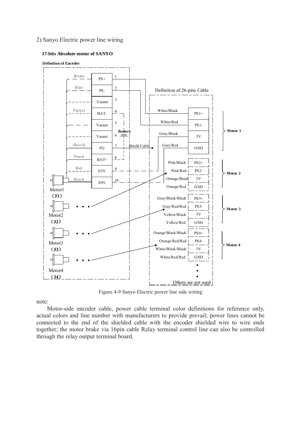### 2) Sanyo Electric power line wiring

#### **17-bits Absolute motor of SANYO**



Figure 4-9 Sanyo Electric power line side wiring

<span id="page-35-0"></span>note:

Motor-side encoder cable, power cable terminal color definitions for reference only, actual colors and line number with manufacturers to provide prevail; power lines cannot be connected to the end of the shielded cable with the encoder shielded wire to wire ends together; the motor brake via 16pin cable Relay terminal control line can also be controlled through the relay output terminal board.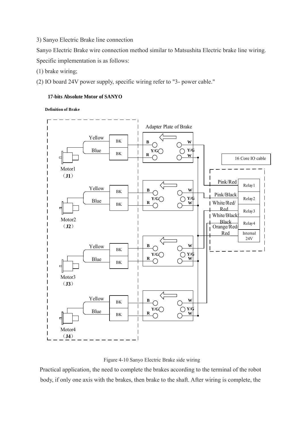3) Sanyo Electric Brake line connection

Sanyo Electric Brake wire connection method similar to Matsushita Electric brake line wiring. Specific implementation is as follows:

(1) brake wiring;

(2) IO board 24V power supply, specific wiring refer to "3- power cable."

## **17-bits Absolute Motor of SANYO**

**Definition of Brake**





Practical application, the need to complete the brakes according to the terminal of the robot body, if only one axis with the brakes, then brake to the shaft. After wiring is complete, the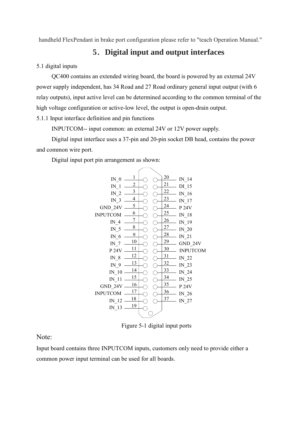<span id="page-37-0"></span>handheld FlexPendant in brake port configuration please refer to "teach Operation Manual."

## **5**.**Digital input and output interfaces**

<span id="page-37-1"></span>5.1 digital inputs

 QC400 contains an extended wiring board, the board is powered by an external 24V power supply independent, has 34 Road and 27 Road ordinary general input output (with 6 relay outputs), input active level can be determined according to the common terminal of the high voltage configuration or active-low level, the output is open-drain output.

5.1.1 Input interface definition and pin functions

INPUTCOM-- input common: an external 24V or 12V power supply.

 Digital input interface uses a 37-pin and 20-pin socket DB head, contains the power and common wire port.

Digital input port pin arrangement as shown:



Figure 5-1 digital input ports

Note:

Input board contains three INPUTCOM inputs, customers only need to provide either a common power input terminal can be used for all boards.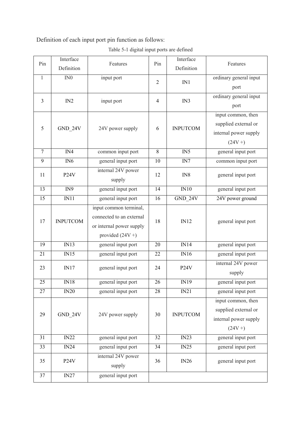Definition of each input port pin function as follows:

| Table 5-1 digital input ports are defined |  |  |  |
|-------------------------------------------|--|--|--|
|                                           |  |  |  |

| Pin            | Interface         | Features                                             | Pin            | Interface         | Features               |
|----------------|-------------------|------------------------------------------------------|----------------|-------------------|------------------------|
|                | Definition        |                                                      |                | Definition        |                        |
| $\mathbf{1}$   | IN0               | input port                                           | $\overline{2}$ | IN1               | ordinary general input |
|                |                   |                                                      |                |                   | port                   |
| $\overline{3}$ | IN2               | input port                                           | $\overline{4}$ | IN3               | ordinary general input |
|                |                   |                                                      |                |                   | port                   |
|                |                   |                                                      |                |                   | input common, then     |
| 5              | GND_24V           | 24V power supply                                     | 6              | <b>INPUTCOM</b>   | supplied external or   |
|                |                   |                                                      |                |                   | internal power supply  |
|                |                   |                                                      |                |                   | $(24V + )$             |
| $\overline{7}$ | $\overline{IN4}$  | common input port                                    | 8              | IN5               | general input port     |
| 9              | IN <sub>6</sub>   | general input port                                   | 10             | IN7               | common input port      |
| 11             | P <sub>24</sub> V | internal 24V power                                   | 12             | IN8               | general input port     |
|                |                   | supply                                               |                |                   |                        |
| 13             | $\overline{IN9}$  | general input port                                   | 14             | IN10              | general input port     |
| 15             | IN11              | general input port                                   | 16             | GND 24V           | 24V power ground       |
|                |                   | input common terminal,                               | 18             | IN12              |                        |
| 17             | <b>INPUTCOM</b>   | connected to an external<br>or internal power supply |                |                   | general input port     |
|                |                   |                                                      |                |                   |                        |
|                |                   | provided $(24V +)$                                   |                |                   |                        |
| 19             | IN13              | general input port                                   | 20             | IN14              | general input port     |
| 21             | IN15              | general input port                                   | 22             | $\overline{N16}$  | general input port     |
| 23             | IN17              | general input port                                   | 24             | P <sub>24</sub> V | internal 24V power     |
|                |                   |                                                      |                |                   | supply                 |
| 25             | $\overline{M18}$  | general input port                                   | 26             | IN19              | general input port     |
| 27             | IN20              | general input port                                   | 28             | IN21              | general input port     |
|                |                   |                                                      |                |                   | input common, then     |
| 29             | GND_24V           | 24V power supply                                     | 30             | <b>INPUTCOM</b>   | supplied external or   |
|                |                   |                                                      |                |                   | internal power supply  |
|                |                   |                                                      |                |                   | $(24V + )$             |
| 31             | IN22              | general input port                                   | 32             | IN23              | general input port     |
| 33             | IN24              | general input port                                   | 34             | IN25              | general input port     |
| 35             | <b>P24V</b>       | internal 24V power                                   | 36             | IN26              | general input port     |
|                |                   | supply                                               |                |                   |                        |
| 37             | IN27              | general input port                                   |                |                   |                        |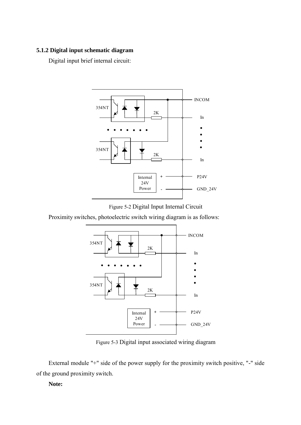## <span id="page-39-0"></span>**5.1.2 Digital input schematic diagram**

Digital input brief internal circuit:



Figure 5-2 Digital Input Internal Circuit

Proximity switches, photoelectric switch wiring diagram is as follows:



Figure 5-3 Digital input associated wiring diagram

External module "+" side of the power supply for the proximity switch positive, "-" side of the ground proximity switch.

## **Note:**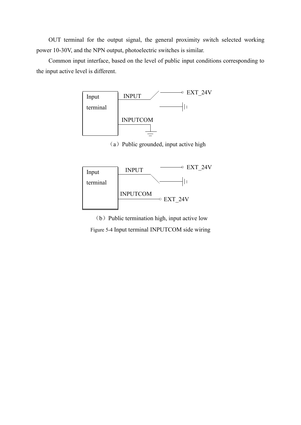OUT terminal for the output signal, the general proximity switch selected working power 10-30V, and the NPN output, photoelectric switches is similar.

Common input interface, based on the level of public input conditions corresponding to the input active level is different.



 $(a)$  Public grounded, input active high



(b) Public termination high, input active low Figure 5-4 Input terminal INPUTCOM side wiring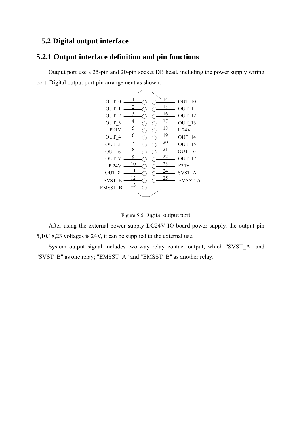## <span id="page-41-1"></span><span id="page-41-0"></span>**5.2 Digital output interface**

## **5.2.1 Output interface definition and pin functions**

Output port use a 25-pin and 20-pin socket DB head, including the power supply wiring port. Digital output port pin arrangement as shown:





After using the external power supply DC24V IO board power supply, the output pin 5,10,18,23 voltages is 24V, it can be supplied to the external use.

System output signal includes two-way relay contact output, which "SVST\_A" and "SVST\_B" as one relay; "EMSST\_A" and "EMSST\_B" as another relay.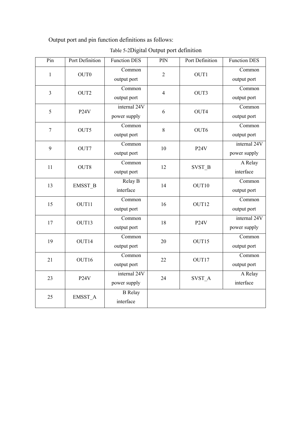Output port and pin function definitions as follows:

| Pin            | Port Definition   | <b>Function DES</b>          | PIN            | Port Definition   | <b>Function DES</b>          |
|----------------|-------------------|------------------------------|----------------|-------------------|------------------------------|
| $\mathbf{1}$   | OUT0              | Common<br>output port        | $\overline{2}$ | OUT1              | Common<br>output port        |
| $\overline{3}$ | OUT2              | Common<br>output port        | $\overline{4}$ | OUT3              | Common<br>output port        |
| 5              | P <sub>24</sub> V | internal 24V<br>power supply | 6              | OUT4              | Common<br>output port        |
| $\overline{7}$ | OUT5              | Common<br>output port        | 8              | OUT6              | Common<br>output port        |
| 9              | OUT7              | Common<br>output port        | 10             | P <sub>24</sub> V | internal 24V<br>power supply |
| 11             | OUT8              | Common<br>output port        | 12             | SVST_B            | A Relay<br>interface         |
| 13             | EMSST_B           | Relay B<br>interface         | 14             | OUT10             | Common<br>output port        |
| 15             | OUT11             | Common<br>output port        | 16             | OUT12             | Common<br>output port        |
| 17             | OUT13             | Common<br>output port        | 18             | P <sub>24</sub> V | internal 24V<br>power supply |
| 19             | OUT14             | Common<br>output port        | 20             | OUT15             | Common<br>output port        |
| 21             | OUT16             | Common<br>output port        | 22             | OUT17             | Common<br>output port        |
| 23             | P <sub>24</sub> V | internal 24V<br>power supply | 24             | SVST A            | A Relay<br>interface         |
| 25             | EMSST_A           | <b>B</b> Relay<br>interface  |                |                   |                              |

Table 5-2Digital Output port definition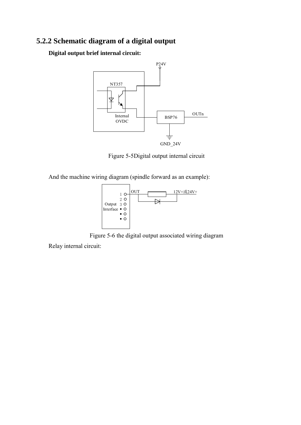## <span id="page-43-0"></span>**5.2.2 Schematic diagram of a digital output**

**Digital output brief internal circuit:** 



Figure 5-5Digital output internal circuit

And the machine wiring diagram (spindle forward as an example):



Figure 5-6 the digital output associated wiring diagram

Relay internal circuit: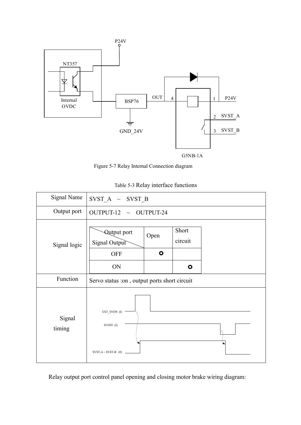

 $G5NB-1A$ 

Figure 5-7 Relay Internal Connection diagram

| Table 5-3 Relay interface functions |  |
|-------------------------------------|--|
|-------------------------------------|--|

| <b>Signal Name</b> | $SVST_A \sim SVST_B$                               |                                              |                               |  |  |  |
|--------------------|----------------------------------------------------|----------------------------------------------|-------------------------------|--|--|--|
| Output port        | OUTPUT-12 $\sim$ OUTPUT-24                         |                                              |                               |  |  |  |
| Signal logic       | Qutput port<br>Signal Output<br><b>OFF</b><br>ON   | Open<br>$\bullet$                            | Short<br>circuit<br>$\bullet$ |  |  |  |
| Function           |                                                    | Servo status :on, output ports short circuit |                               |  |  |  |
| Signal<br>timing   | EXT_SVON (I)<br>SVOFF (I)<br>SVST-A ~ SVST-B $(0)$ |                                              |                               |  |  |  |

Relay output port control panel opening and closing motor brake wiring diagram: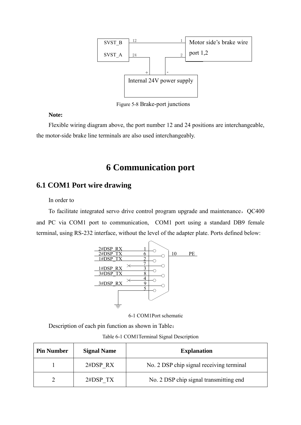

Figure 5-8 Brake-port junctions

## **Note:**

<span id="page-45-0"></span>Flexible wiring diagram above, the port number 12 and 24 positions are interchangeable, the motor-side brake line terminals are also used interchangeably.

# **6 Communication port**

## <span id="page-45-1"></span>**6.1 COM1 Port wire drawing**

## In order to

To facilitate integrated servo drive control program upgrade and maintenance, QC400 and PC via COM1 port to communication, COM1 port using a standard DB9 female terminal, using RS-232 interface, without the level of the adapter plate. Ports defined below:



6-1 COM1Port schematic

Description of each pin function as shown in Table:

Table 6-1 COM1Terminal Signal Description

| <b>Pin Number</b> | <b>Signal Name</b> | <b>Explanation</b>                       |
|-------------------|--------------------|------------------------------------------|
|                   | 2#DSP RX           | No. 2 DSP chip signal receiving terminal |
|                   | 2#DSP TX           | No. 2 DSP chip signal transmitting end   |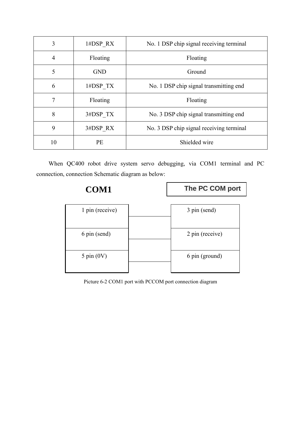| 3              | 1#DSP RX   | No. 1 DSP chip signal receiving terminal |
|----------------|------------|------------------------------------------|
| $\overline{4}$ | Floating   | Floating                                 |
| 5              | <b>GND</b> | Ground                                   |
| 6              | 1#DSP TX   | No. 1 DSP chip signal transmitting end   |
| 7              | Floating   | Floating                                 |
| 8              | 3#DSP TX   | No. 3 DSP chip signal transmitting end   |
| 9              | 3#DSP RX   | No. 3 DSP chip signal receiving terminal |
| 10             | <b>PE</b>  | Shielded wire                            |

When QC400 robot drive system servo debugging, via COM1 terminal and PC connection, connection Schematic diagram as below:



Picture 6-2 COM1 port with PCCOM port connection diagram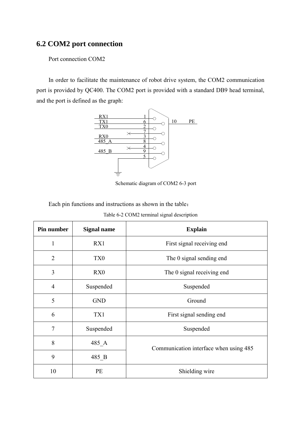## <span id="page-47-0"></span>**6.2 COM2 port connection**

Port connection COM2

In order to facilitate the maintenance of robot drive system, the COM2 communication port is provided by QC400. The COM2 port is provided with a standard DB9 head terminal, and the port is defined as the graph:



Schematic diagram of COM2 6-3 port

Each pin functions and instructions as shown in the table:

| Pin number     | <b>Signal name</b> | <b>Explain</b>                         |
|----------------|--------------------|----------------------------------------|
| 1              | RX1                | First signal receiving end             |
| $\overline{2}$ | TX <sub>0</sub>    | The 0 signal sending end               |
| 3              | RX0                | The 0 signal receiving end             |
| $\overline{4}$ | Suspended          | Suspended                              |
| 5              | <b>GND</b>         | Ground                                 |
| 6              | TX1                | First signal sending end               |
| $\overline{7}$ | Suspended          | Suspended                              |
| 8              | $485$ <sup>A</sup> | Communication interface when using 485 |
| 9              | 485 B              |                                        |
| 10             | PE                 | Shielding wire                         |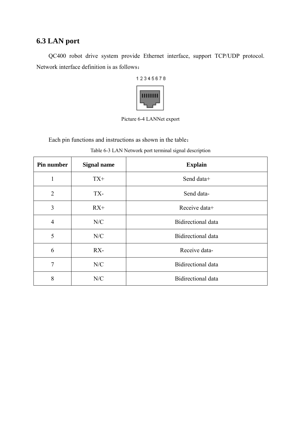## <span id="page-48-0"></span>**6.3 LAN port**

QC400 robot drive system provide Ethernet interface, support TCP/UDP protocol. Network interface definition is as follows:



Picture 6-4 LANNet export

Each pin functions and instructions as shown in the table:

| Pin number     | <b>Signal name</b> | <b>Explain</b>            |
|----------------|--------------------|---------------------------|
| 1              | $TX+$              | Send data+                |
| $\overline{2}$ | TX-                | Send data-                |
| $\overline{3}$ | $RX+$              | Receive data+             |
| 4              | N/C                | <b>Bidirectional data</b> |
| 5              | N/C                | <b>Bidirectional</b> data |
| 6              | $RX-$              | Receive data-             |
| $\tau$         | N/C                | Bidirectional data        |
| 8              | N/C                | <b>Bidirectional</b> data |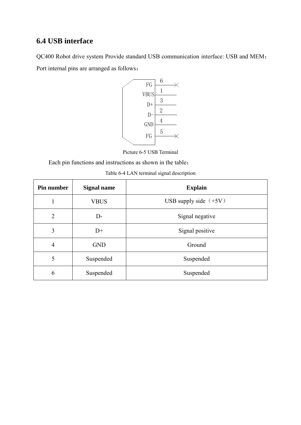## <span id="page-49-0"></span>**6.4 USB interface**

QC400 Robot drive system Provide standard USB communication interface: USB and MEM; Port internal pins are arranged as follows:



Picture 6-5 USB Terminal

Each pin functions and instructions as shown in the table:

| Table 6-4 LAN terminal signal description |  |
|-------------------------------------------|--|
|-------------------------------------------|--|

| Pin number     | <b>Signal name</b> | <b>Explain</b>          |
|----------------|--------------------|-------------------------|
| 1              | <b>VBUS</b>        | USB supply side $(+5V)$ |
| $\overline{2}$ | $D-$               | Signal negative         |
| 3              | $D+$               | Signal positive         |
| 4              | <b>GND</b>         | Ground                  |
| 5              | Suspended          | Suspended               |
| 6              | Suspended          | Suspended               |